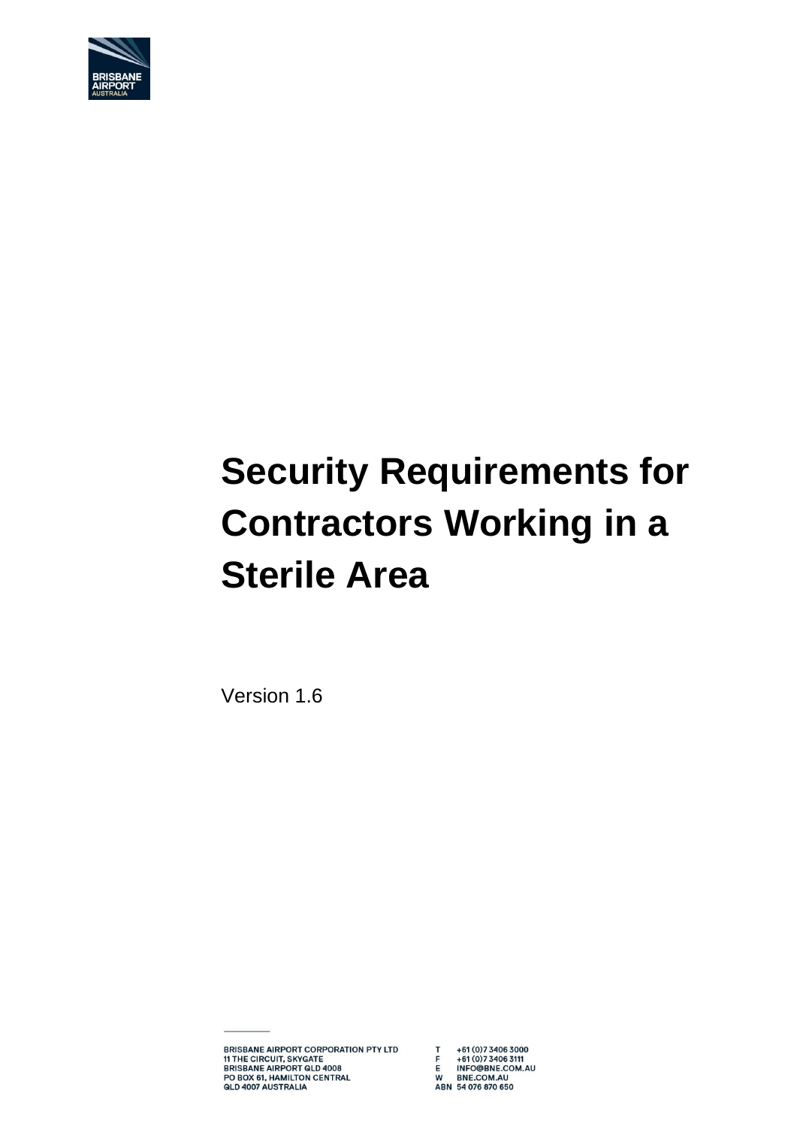

# **Security Requirements for Contractors Working in a Sterile Area**

Version 1.6

**BRISBANE AIRPORT CORPORATION PTY LTD BRISBANE AIRPORT CONFORMED<br>THE CIRCUIT, SKYGATE<br>BRISBANE AIRPORT QLD 4008<br>PO BOX 61, HAMILTON CENTRAL<br>QLD 4007 AUSTRALIA** 

T +61 (0)7 3406 3000<br>F +61 (0)7 3406 3111<br>E INFO@BNE.COM.AU<br>W BNE.COM.AU<br>ABN 54 076 870 650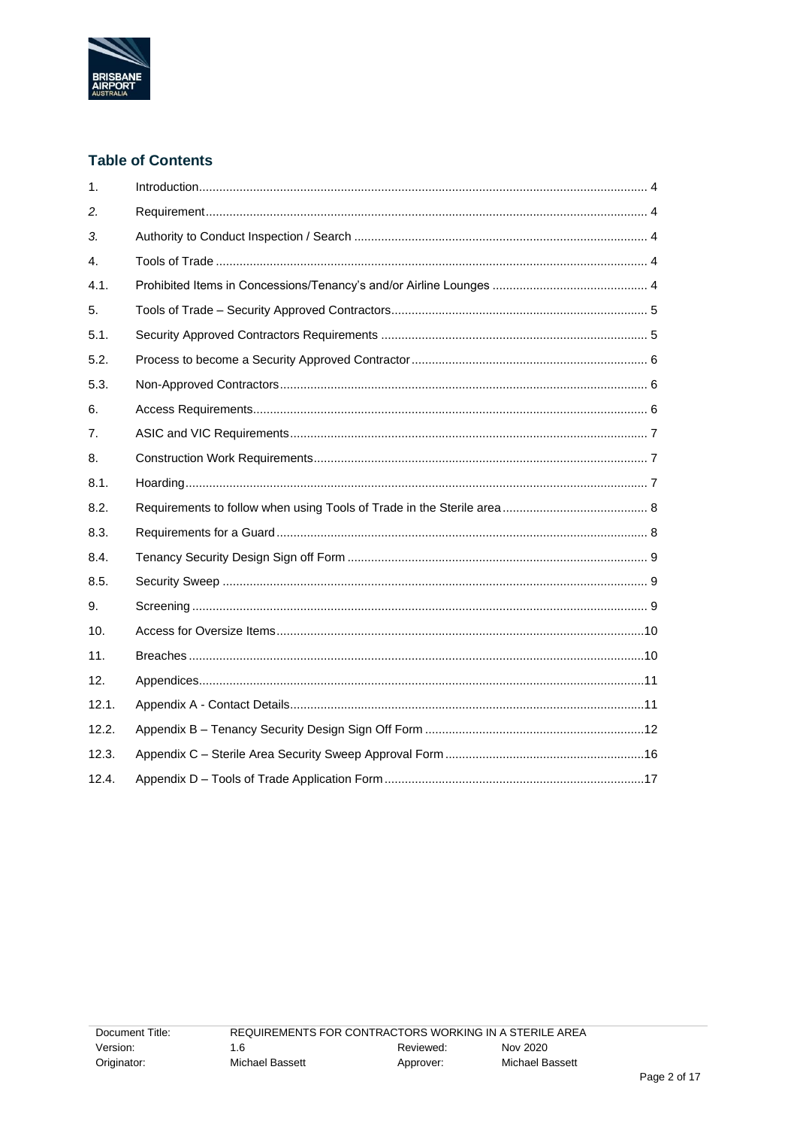

## **Table of Contents**

| 1.               |  |
|------------------|--|
| 2.               |  |
| 3.               |  |
| $\overline{4}$ . |  |
| 4.1.             |  |
| 5.               |  |
| 5.1.             |  |
| 5.2.             |  |
| 5.3.             |  |
| 6.               |  |
| 7.               |  |
| 8.               |  |
| 8.1.             |  |
| 8.2.             |  |
| 8.3.             |  |
| 8.4.             |  |
| 8.5.             |  |
| 9.               |  |
| 10.              |  |
| 11.              |  |
| 12.              |  |
| 12.1.            |  |
| 12.2.            |  |
| 12.3.            |  |
| 12.4.            |  |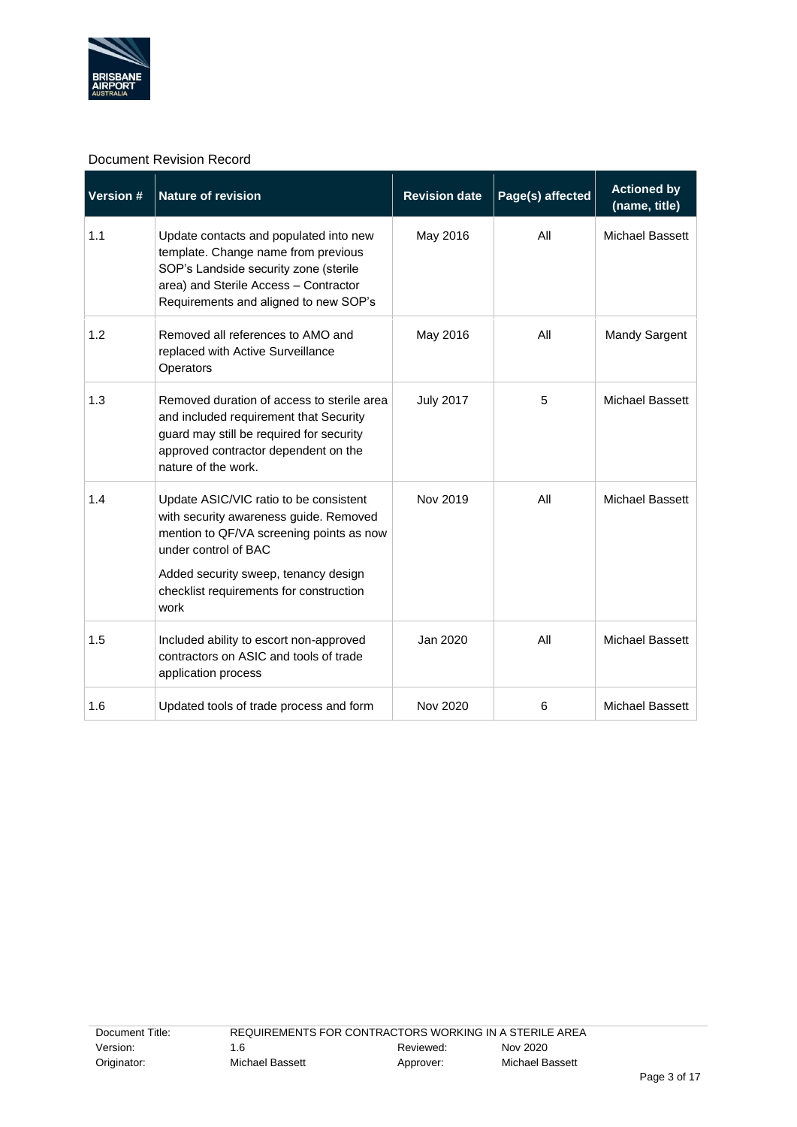

#### Document Revision Record

| <b>Version #</b> | <b>Nature of revision</b>                                                                                                                                                                                                                       | <b>Revision date</b> | Page(s) affected | <b>Actioned by</b><br>(name, title) |
|------------------|-------------------------------------------------------------------------------------------------------------------------------------------------------------------------------------------------------------------------------------------------|----------------------|------------------|-------------------------------------|
| 1.1              | Update contacts and populated into new<br>template. Change name from previous<br>SOP's Landside security zone (sterile<br>area) and Sterile Access - Contractor<br>Requirements and aligned to new SOP's                                        | May 2016             | All              | Michael Bassett                     |
| 1.2              | Removed all references to AMO and<br>replaced with Active Surveillance<br>Operators                                                                                                                                                             | May 2016             | All              | <b>Mandy Sargent</b>                |
| 1.3              | Removed duration of access to sterile area<br>and included requirement that Security<br>guard may still be required for security<br>approved contractor dependent on the<br>nature of the work.                                                 | <b>July 2017</b>     | 5                | Michael Bassett                     |
| 1.4              | Update ASIC/VIC ratio to be consistent<br>with security awareness guide. Removed<br>mention to QF/VA screening points as now<br>under control of BAC<br>Added security sweep, tenancy design<br>checklist requirements for construction<br>work | Nov 2019             | All              | <b>Michael Bassett</b>              |
| 1.5              | Included ability to escort non-approved<br>contractors on ASIC and tools of trade<br>application process                                                                                                                                        | Jan 2020             | All              | Michael Bassett                     |
| 1.6              | Updated tools of trade process and form                                                                                                                                                                                                         | Nov 2020             | 6                | Michael Bassett                     |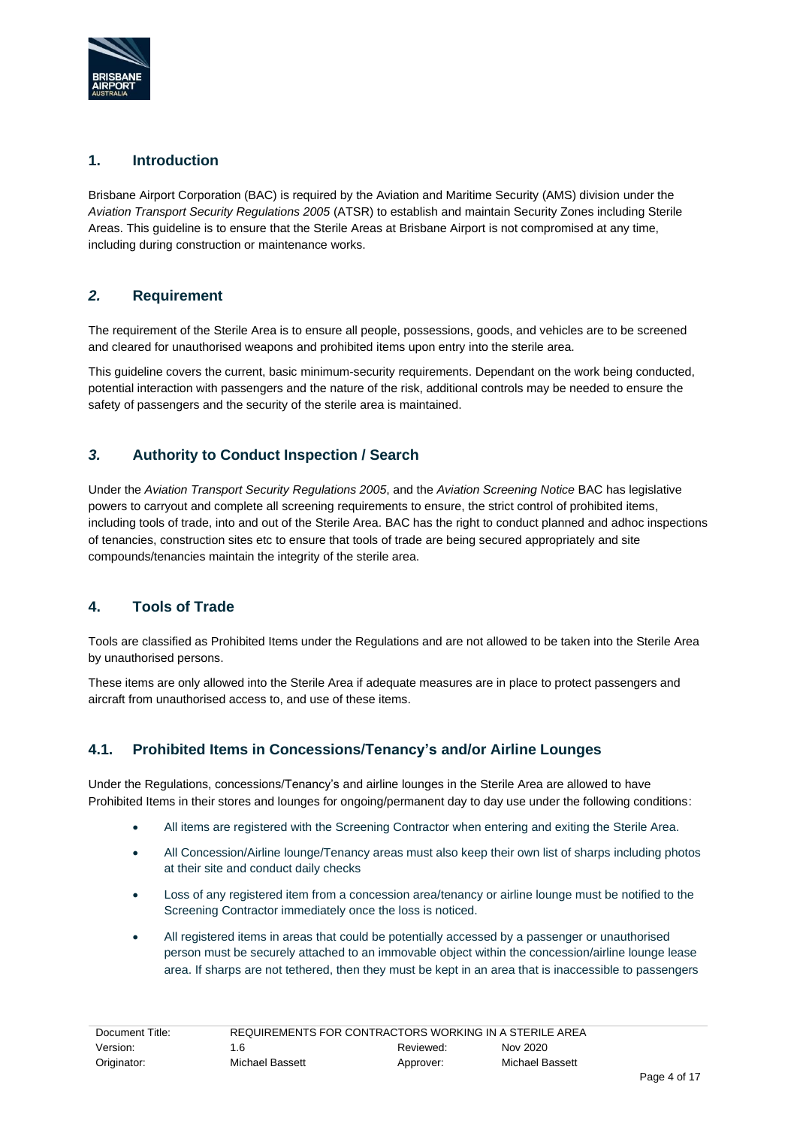

#### **1. Introduction**

Brisbane Airport Corporation (BAC) is required by the Aviation and Maritime Security (AMS) division under the *Aviation Transport Security Regulations 2005* (ATSR) to establish and maintain Security Zones including Sterile Areas. This guideline is to ensure that the Sterile Areas at Brisbane Airport is not compromised at any time, including during construction or maintenance works.

#### *2.* **Requirement**

The requirement of the Sterile Area is to ensure all people, possessions, goods, and vehicles are to be screened and cleared for unauthorised weapons and prohibited items upon entry into the sterile area.

This guideline covers the current, basic minimum-security requirements. Dependant on the work being conducted, potential interaction with passengers and the nature of the risk, additional controls may be needed to ensure the safety of passengers and the security of the sterile area is maintained.

## *3.* **Authority to Conduct Inspection / Search**

Under the *Aviation Transport Security Regulations 2005*, and the *Aviation Screening Notice* BAC has legislative powers to carryout and complete all screening requirements to ensure, the strict control of prohibited items, including tools of trade, into and out of the Sterile Area. BAC has the right to conduct planned and adhoc inspections of tenancies, construction sites etc to ensure that tools of trade are being secured appropriately and site compounds/tenancies maintain the integrity of the sterile area.

## **4. Tools of Trade**

Tools are classified as Prohibited Items under the Regulations and are not allowed to be taken into the Sterile Area by unauthorised persons.

These items are only allowed into the Sterile Area if adequate measures are in place to protect passengers and aircraft from unauthorised access to, and use of these items.

## **4.1. Prohibited Items in Concessions/Tenancy's and/or Airline Lounges**

Under the Regulations, concessions/Tenancy's and airline lounges in the Sterile Area are allowed to have Prohibited Items in their stores and lounges for ongoing/permanent day to day use under the following conditions:

- All items are registered with the Screening Contractor when entering and exiting the Sterile Area.
- All Concession/Airline lounge/Tenancy areas must also keep their own list of sharps including photos at their site and conduct daily checks
- Loss of any registered item from a concession area/tenancy or airline lounge must be notified to the Screening Contractor immediately once the loss is noticed.
- All registered items in areas that could be potentially accessed by a passenger or unauthorised person must be securely attached to an immovable object within the concession/airline lounge lease area. If sharps are not tethered, then they must be kept in an area that is inaccessible to passengers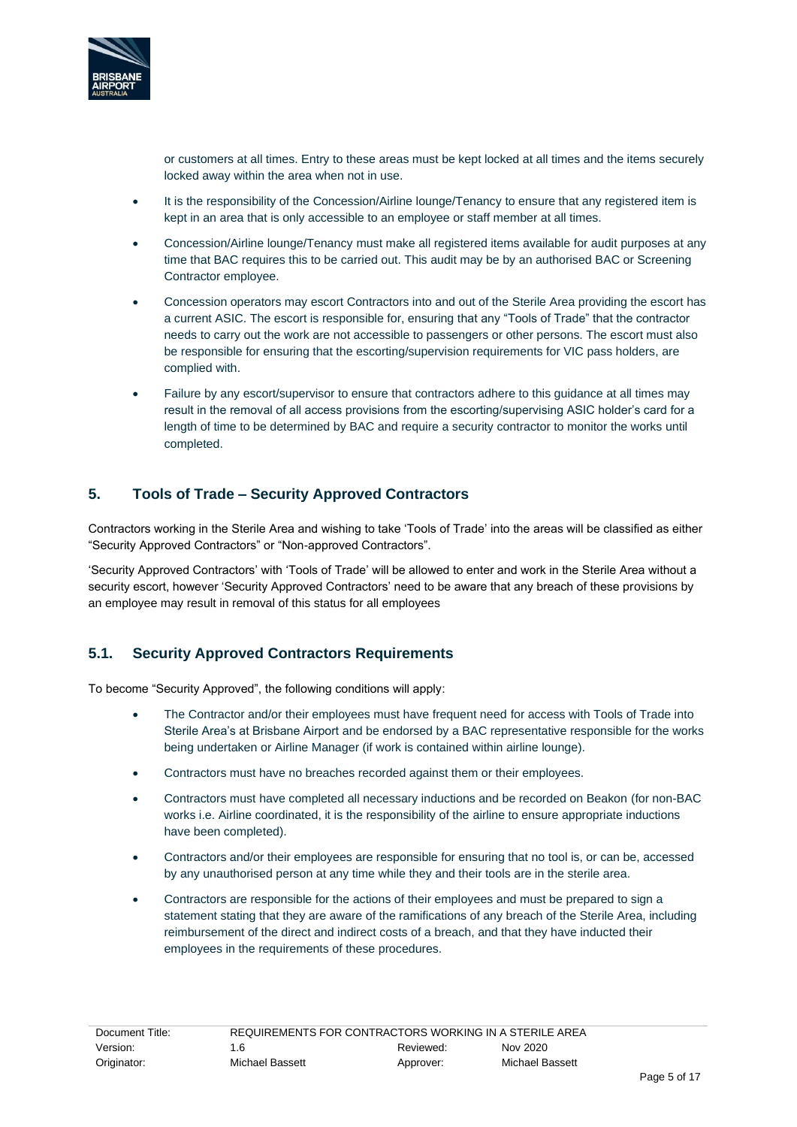

or customers at all times. Entry to these areas must be kept locked at all times and the items securely locked away within the area when not in use.

- It is the responsibility of the Concession/Airline lounge/Tenancy to ensure that any registered item is kept in an area that is only accessible to an employee or staff member at all times.
- Concession/Airline lounge/Tenancy must make all registered items available for audit purposes at any time that BAC requires this to be carried out. This audit may be by an authorised BAC or Screening Contractor employee.
- Concession operators may escort Contractors into and out of the Sterile Area providing the escort has a current ASIC. The escort is responsible for, ensuring that any "Tools of Trade" that the contractor needs to carry out the work are not accessible to passengers or other persons. The escort must also be responsible for ensuring that the escorting/supervision requirements for VIC pass holders, are complied with.
- Failure by any escort/supervisor to ensure that contractors adhere to this guidance at all times may result in the removal of all access provisions from the escorting/supervising ASIC holder's card for a length of time to be determined by BAC and require a security contractor to monitor the works until completed.

#### **5. Tools of Trade – Security Approved Contractors**

Contractors working in the Sterile Area and wishing to take 'Tools of Trade' into the areas will be classified as either "Security Approved Contractors" or "Non-approved Contractors".

'Security Approved Contractors' with 'Tools of Trade' will be allowed to enter and work in the Sterile Area without a security escort, however 'Security Approved Contractors' need to be aware that any breach of these provisions by an employee may result in removal of this status for all employees

#### **5.1. Security Approved Contractors Requirements**

To become "Security Approved", the following conditions will apply:

- The Contractor and/or their employees must have frequent need for access with Tools of Trade into Sterile Area's at Brisbane Airport and be endorsed by a BAC representative responsible for the works being undertaken or Airline Manager (if work is contained within airline lounge).
- Contractors must have no breaches recorded against them or their employees.
- Contractors must have completed all necessary inductions and be recorded on Beakon (for non-BAC works i.e. Airline coordinated, it is the responsibility of the airline to ensure appropriate inductions have been completed).
- Contractors and/or their employees are responsible for ensuring that no tool is, or can be, accessed by any unauthorised person at any time while they and their tools are in the sterile area.
- Contractors are responsible for the actions of their employees and must be prepared to sign a statement stating that they are aware of the ramifications of any breach of the Sterile Area, including reimbursement of the direct and indirect costs of a breach, and that they have inducted their employees in the requirements of these procedures.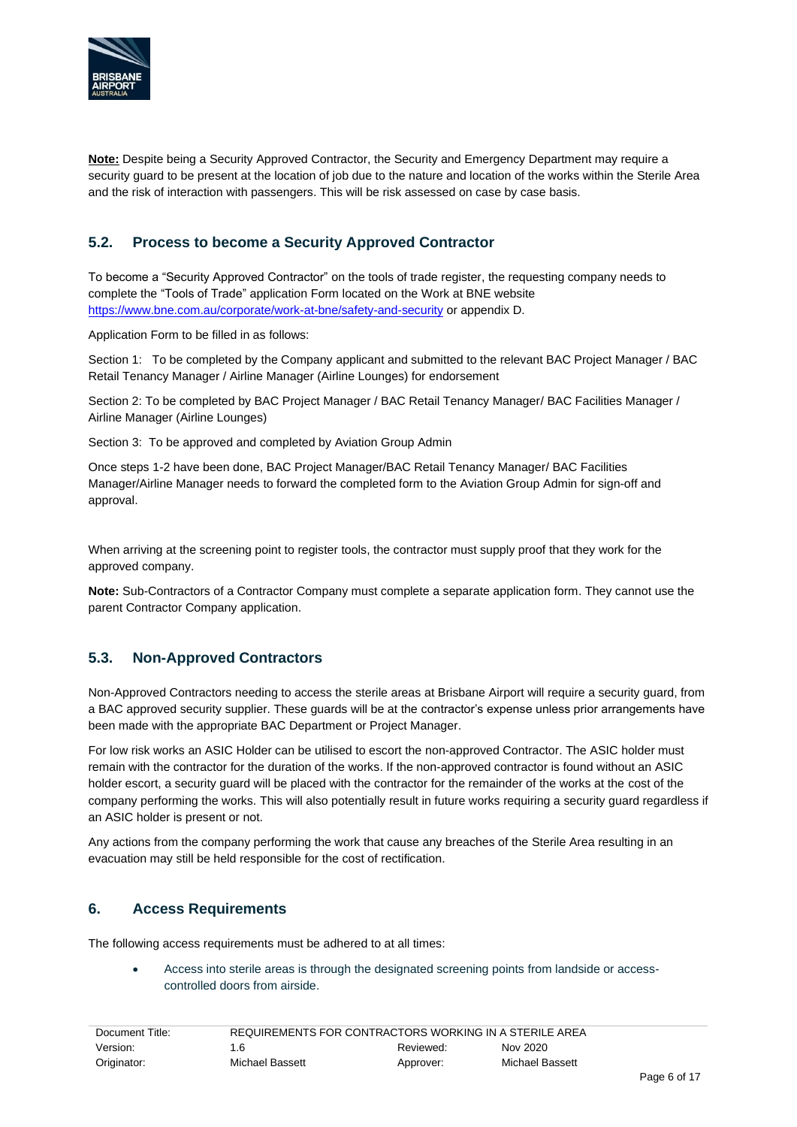

**Note:** Despite being a Security Approved Contractor, the Security and Emergency Department may require a security guard to be present at the location of job due to the nature and location of the works within the Sterile Area and the risk of interaction with passengers. This will be risk assessed on case by case basis.

## **5.2. Process to become a Security Approved Contractor**

To become a "Security Approved Contractor" on the tools of trade register, the requesting company needs to complete the "Tools of Trade" application Form located on the Work at BNE website <https://www.bne.com.au/corporate/work-at-bne/safety-and-security> or appendix D.

Application Form to be filled in as follows:

Section 1: To be completed by the Company applicant and submitted to the relevant BAC Project Manager / BAC Retail Tenancy Manager / Airline Manager (Airline Lounges) for endorsement

Section 2: To be completed by BAC Project Manager / BAC Retail Tenancy Manager/ BAC Facilities Manager / Airline Manager (Airline Lounges)

Section 3: To be approved and completed by Aviation Group Admin

Once steps 1-2 have been done, BAC Project Manager/BAC Retail Tenancy Manager/ BAC Facilities Manager/Airline Manager needs to forward the completed form to the Aviation Group Admin for sign-off and approval.

When arriving at the screening point to register tools, the contractor must supply proof that they work for the approved company.

**Note:** Sub-Contractors of a Contractor Company must complete a separate application form. They cannot use the parent Contractor Company application.

#### **5.3. Non-Approved Contractors**

Non-Approved Contractors needing to access the sterile areas at Brisbane Airport will require a security guard, from a BAC approved security supplier. These guards will be at the contractor's expense unless prior arrangements have been made with the appropriate BAC Department or Project Manager.

For low risk works an ASIC Holder can be utilised to escort the non-approved Contractor. The ASIC holder must remain with the contractor for the duration of the works. If the non-approved contractor is found without an ASIC holder escort, a security guard will be placed with the contractor for the remainder of the works at the cost of the company performing the works. This will also potentially result in future works requiring a security guard regardless if an ASIC holder is present or not.

Any actions from the company performing the work that cause any breaches of the Sterile Area resulting in an evacuation may still be held responsible for the cost of rectification.

#### **6. Access Requirements**

The following access requirements must be adhered to at all times:

• Access into sterile areas is through the designated screening points from landside or accesscontrolled doors from airside.

| Document Title: | REQUIREMENTS FOR CONTRACTORS WORKING IN A STERILE AREA |           |                 |  |
|-----------------|--------------------------------------------------------|-----------|-----------------|--|
| Version:        | 1.6                                                    | Reviewed: | Nov 2020        |  |
| Originator:     | Michael Bassett                                        | Approver: | Michael Bassett |  |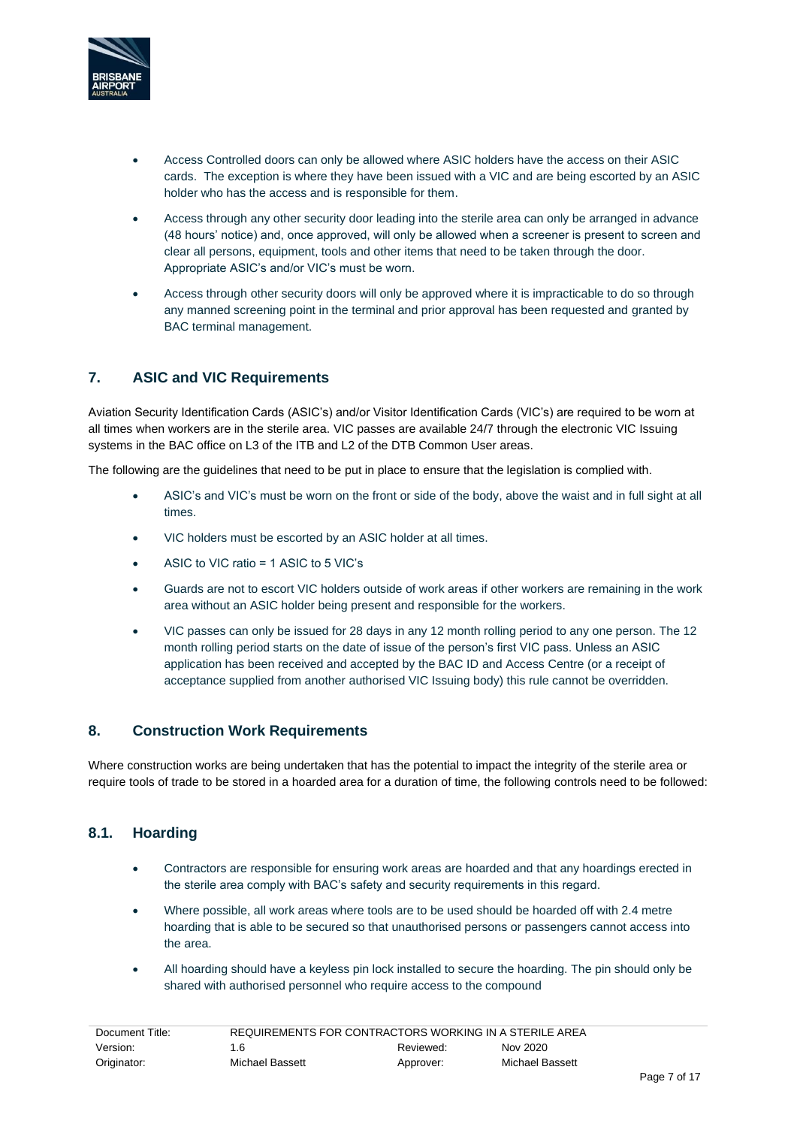

- Access Controlled doors can only be allowed where ASIC holders have the access on their ASIC cards. The exception is where they have been issued with a VIC and are being escorted by an ASIC holder who has the access and is responsible for them.
- Access through any other security door leading into the sterile area can only be arranged in advance (48 hours' notice) and, once approved, will only be allowed when a screener is present to screen and clear all persons, equipment, tools and other items that need to be taken through the door. Appropriate ASIC's and/or VIC's must be worn.
- Access through other security doors will only be approved where it is impracticable to do so through any manned screening point in the terminal and prior approval has been requested and granted by BAC terminal management.

## **7. ASIC and VIC Requirements**

Aviation Security Identification Cards (ASIC's) and/or Visitor Identification Cards (VIC's) are required to be worn at all times when workers are in the sterile area. VIC passes are available 24/7 through the electronic VIC Issuing systems in the BAC office on L3 of the ITB and L2 of the DTB Common User areas.

The following are the guidelines that need to be put in place to ensure that the legislation is complied with.

- ASIC's and VIC's must be worn on the front or side of the body, above the waist and in full sight at all times.
- VIC holders must be escorted by an ASIC holder at all times.
- ASIC to VIC ratio = 1 ASIC to 5 VIC's
- Guards are not to escort VIC holders outside of work areas if other workers are remaining in the work area without an ASIC holder being present and responsible for the workers.
- VIC passes can only be issued for 28 days in any 12 month rolling period to any one person. The 12 month rolling period starts on the date of issue of the person's first VIC pass. Unless an ASIC application has been received and accepted by the BAC ID and Access Centre (or a receipt of acceptance supplied from another authorised VIC Issuing body) this rule cannot be overridden.

#### **8. Construction Work Requirements**

Where construction works are being undertaken that has the potential to impact the integrity of the sterile area or require tools of trade to be stored in a hoarded area for a duration of time, the following controls need to be followed:

#### **8.1. Hoarding**

- Contractors are responsible for ensuring work areas are hoarded and that any hoardings erected in the sterile area comply with BAC's safety and security requirements in this regard.
- Where possible, all work areas where tools are to be used should be hoarded off with 2.4 metre hoarding that is able to be secured so that unauthorised persons or passengers cannot access into the area.
- All hoarding should have a keyless pin lock installed to secure the hoarding. The pin should only be shared with authorised personnel who require access to the compound

| REQUIREMENTS FOR CONTRACTORS WORKING IN A STERILE AREA<br>Document Title: |                 |           |                 |
|---------------------------------------------------------------------------|-----------------|-----------|-----------------|
| Version:                                                                  | 1.6             | Reviewed: | Nov 2020        |
| Originator:                                                               | Michael Bassett | Approver: | Michael Bassett |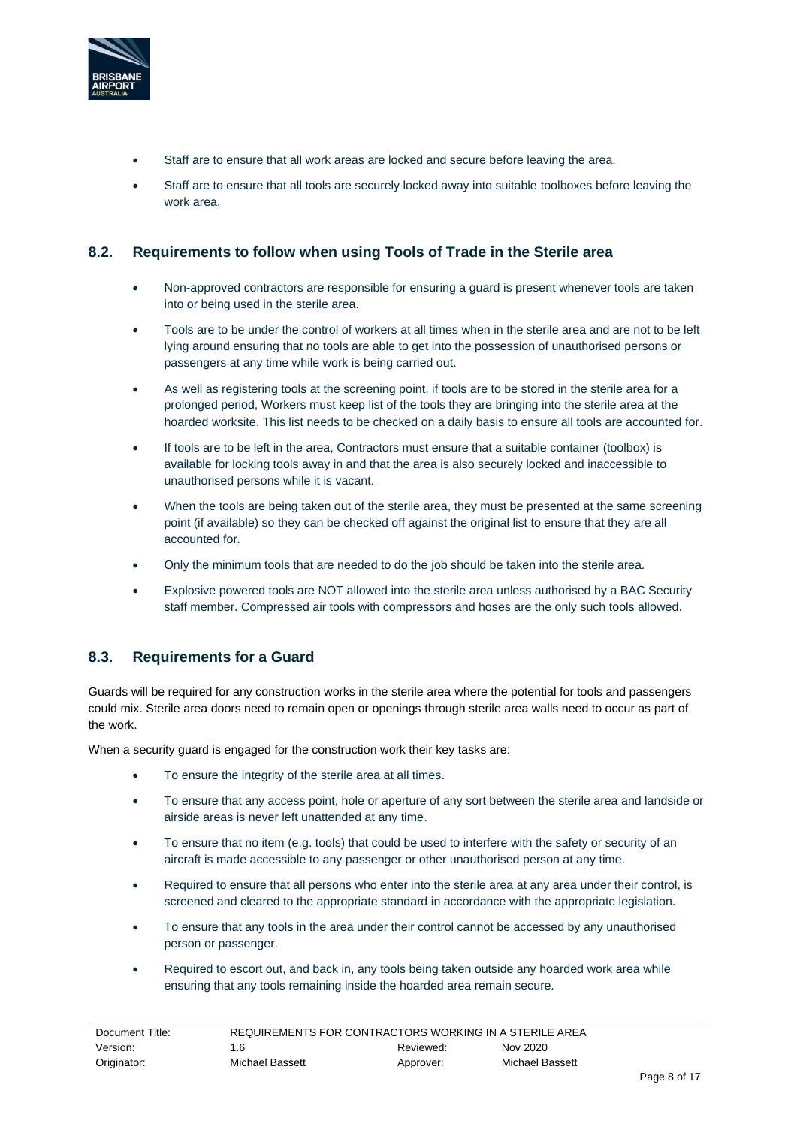

- Staff are to ensure that all work areas are locked and secure before leaving the area.
- Staff are to ensure that all tools are securely locked away into suitable toolboxes before leaving the work area.

#### **8.2. Requirements to follow when using Tools of Trade in the Sterile area**

- Non-approved contractors are responsible for ensuring a guard is present whenever tools are taken into or being used in the sterile area.
- Tools are to be under the control of workers at all times when in the sterile area and are not to be left lying around ensuring that no tools are able to get into the possession of unauthorised persons or passengers at any time while work is being carried out.
- As well as registering tools at the screening point, if tools are to be stored in the sterile area for a prolonged period, Workers must keep list of the tools they are bringing into the sterile area at the hoarded worksite. This list needs to be checked on a daily basis to ensure all tools are accounted for.
- If tools are to be left in the area, Contractors must ensure that a suitable container (toolbox) is available for locking tools away in and that the area is also securely locked and inaccessible to unauthorised persons while it is vacant.
- When the tools are being taken out of the sterile area, they must be presented at the same screening point (if available) so they can be checked off against the original list to ensure that they are all accounted for.
- Only the minimum tools that are needed to do the job should be taken into the sterile area.
- Explosive powered tools are NOT allowed into the sterile area unless authorised by a BAC Security staff member. Compressed air tools with compressors and hoses are the only such tools allowed.

#### **8.3. Requirements for a Guard**

Guards will be required for any construction works in the sterile area where the potential for tools and passengers could mix. Sterile area doors need to remain open or openings through sterile area walls need to occur as part of the work.

When a security guard is engaged for the construction work their key tasks are:

- To ensure the integrity of the sterile area at all times.
- To ensure that any access point, hole or aperture of any sort between the sterile area and landside or airside areas is never left unattended at any time.
- To ensure that no item (e.g. tools) that could be used to interfere with the safety or security of an aircraft is made accessible to any passenger or other unauthorised person at any time.
- Required to ensure that all persons who enter into the sterile area at any area under their control, is screened and cleared to the appropriate standard in accordance with the appropriate legislation.
- To ensure that any tools in the area under their control cannot be accessed by any unauthorised person or passenger.
- Required to escort out, and back in, any tools being taken outside any hoarded work area while ensuring that any tools remaining inside the hoarded area remain secure.

| Document Title: | REQUIREMENTS FOR CONTRACTORS WORKING IN A STERILE AREA |           |                 |
|-----------------|--------------------------------------------------------|-----------|-----------------|
| Version:        | 1.6                                                    | Reviewed: | Nov 2020        |
| Originator:     | Michael Bassett                                        | Approver: | Michael Bassett |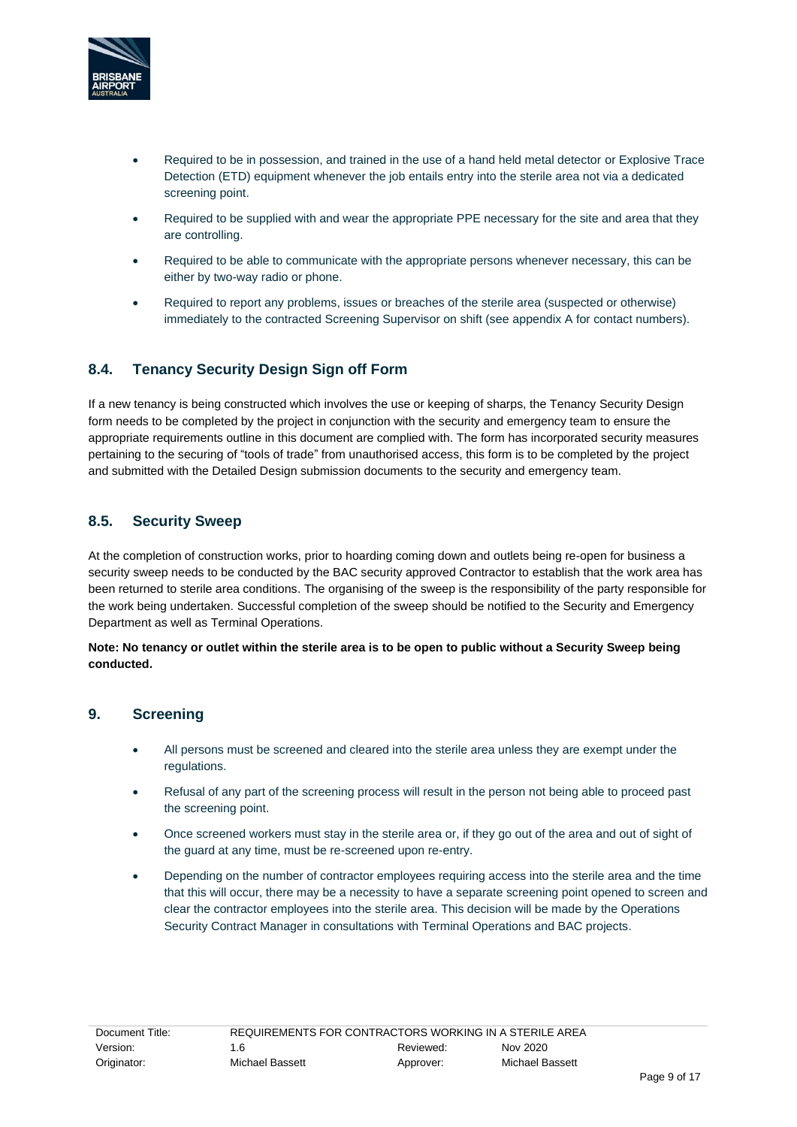

- Required to be in possession, and trained in the use of a hand held metal detector or Explosive Trace Detection (ETD) equipment whenever the job entails entry into the sterile area not via a dedicated screening point.
- Required to be supplied with and wear the appropriate PPE necessary for the site and area that they are controlling.
- Required to be able to communicate with the appropriate persons whenever necessary, this can be either by two-way radio or phone.
- Required to report any problems, issues or breaches of the sterile area (suspected or otherwise) immediately to the contracted Screening Supervisor on shift (see appendix A for contact numbers).

#### **8.4. Tenancy Security Design Sign off Form**

If a new tenancy is being constructed which involves the use or keeping of sharps, the Tenancy Security Design form needs to be completed by the project in conjunction with the security and emergency team to ensure the appropriate requirements outline in this document are complied with. The form has incorporated security measures pertaining to the securing of "tools of trade" from unauthorised access, this form is to be completed by the project and submitted with the Detailed Design submission documents to the security and emergency team.

#### **8.5. Security Sweep**

At the completion of construction works, prior to hoarding coming down and outlets being re-open for business a security sweep needs to be conducted by the BAC security approved Contractor to establish that the work area has been returned to sterile area conditions. The organising of the sweep is the responsibility of the party responsible for the work being undertaken. Successful completion of the sweep should be notified to the Security and Emergency Department as well as Terminal Operations.

**Note: No tenancy or outlet within the sterile area is to be open to public without a Security Sweep being conducted.**

#### **9. Screening**

- All persons must be screened and cleared into the sterile area unless they are exempt under the regulations.
- Refusal of any part of the screening process will result in the person not being able to proceed past the screening point.
- Once screened workers must stay in the sterile area or, if they go out of the area and out of sight of the guard at any time, must be re-screened upon re-entry.
- Depending on the number of contractor employees requiring access into the sterile area and the time that this will occur, there may be a necessity to have a separate screening point opened to screen and clear the contractor employees into the sterile area. This decision will be made by the Operations Security Contract Manager in consultations with Terminal Operations and BAC projects.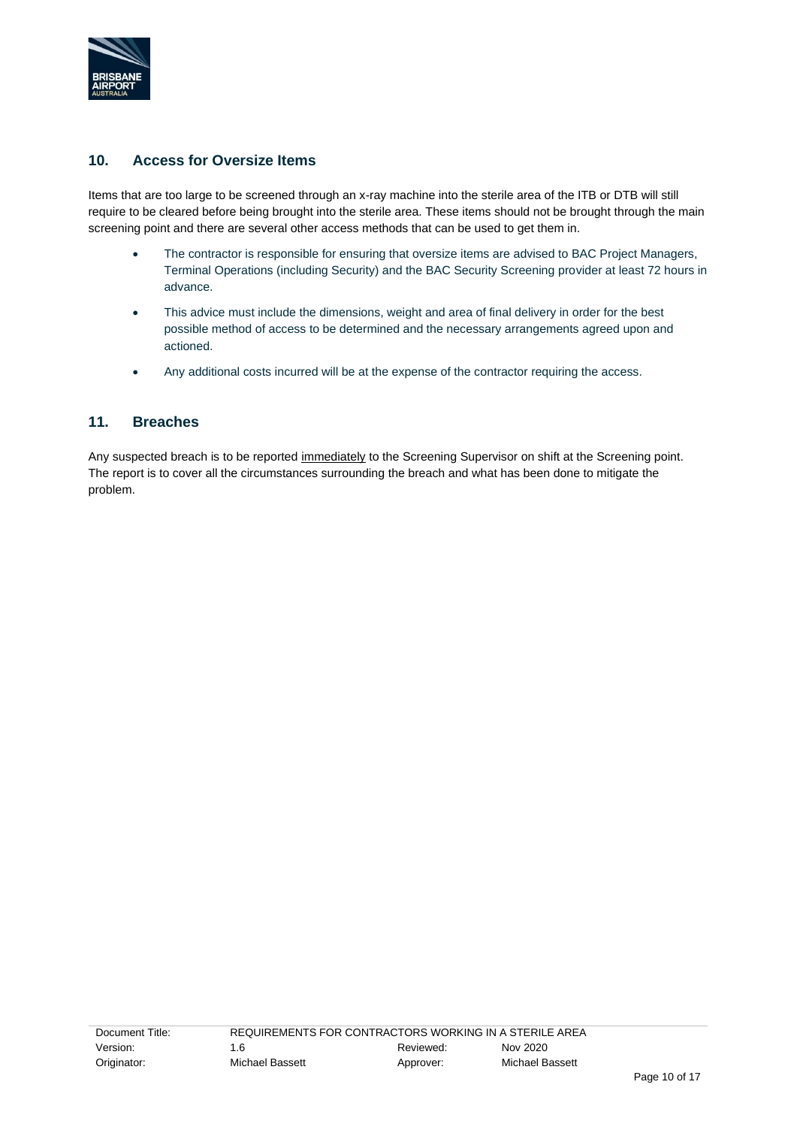

#### **10. Access for Oversize Items**

Items that are too large to be screened through an x-ray machine into the sterile area of the ITB or DTB will still require to be cleared before being brought into the sterile area. These items should not be brought through the main screening point and there are several other access methods that can be used to get them in.

- The contractor is responsible for ensuring that oversize items are advised to BAC Project Managers, Terminal Operations (including Security) and the BAC Security Screening provider at least 72 hours in advance.
- This advice must include the dimensions, weight and area of final delivery in order for the best possible method of access to be determined and the necessary arrangements agreed upon and actioned.
- Any additional costs incurred will be at the expense of the contractor requiring the access.

#### **11. Breaches**

Any suspected breach is to be reported immediately to the Screening Supervisor on shift at the Screening point. The report is to cover all the circumstances surrounding the breach and what has been done to mitigate the problem.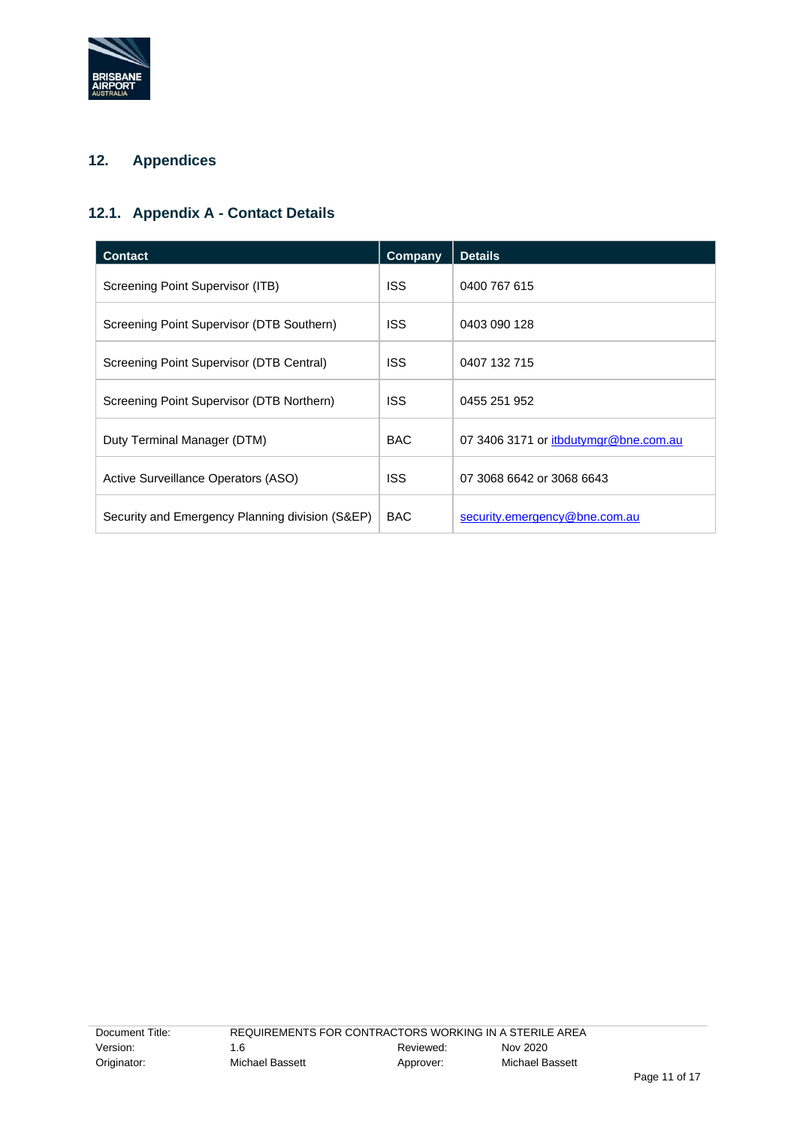

## **12. Appendices**

## **12.1. Appendix A - Contact Details**

| <b>Contact</b>                                  | Company    | <b>Details</b>                        |
|-------------------------------------------------|------------|---------------------------------------|
| Screening Point Supervisor (ITB)                | <b>ISS</b> | 0400 767 615                          |
| Screening Point Supervisor (DTB Southern)       | <b>ISS</b> | 0403 090 128                          |
| Screening Point Supervisor (DTB Central)        | <b>ISS</b> | 0407 132 715                          |
| Screening Point Supervisor (DTB Northern)       | <b>ISS</b> | 0455 251 952                          |
| Duty Terminal Manager (DTM)                     | <b>BAC</b> | 07 3406 3171 or itbdutymgr@bne.com.au |
| Active Surveillance Operators (ASO)             | <b>ISS</b> | 07 3068 6642 or 3068 6643             |
| Security and Emergency Planning division (S&EP) | <b>BAC</b> | security.emergency@bne.com.au         |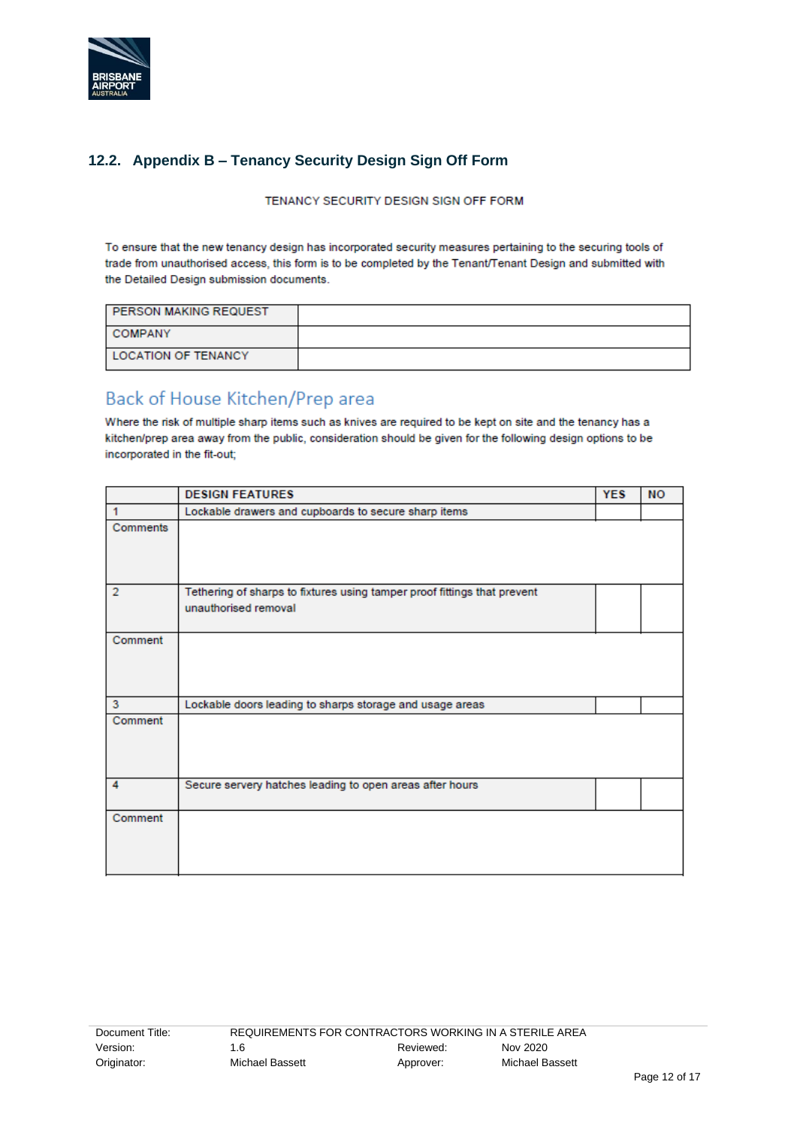

## **12.2. Appendix B – Tenancy Security Design Sign Off Form**

TENANCY SECURITY DESIGN SIGN OFF FORM

To ensure that the new tenancy design has incorporated security measures pertaining to the securing tools of trade from unauthorised access, this form is to be completed by the Tenant/Tenant Design and submitted with the Detailed Design submission documents.

| <b>PERSON MAKING REQUEST</b> |  |
|------------------------------|--|
| <b>COMPANY</b>               |  |
| <b>LOCATION OF TENANCY</b>   |  |

# Back of House Kitchen/Prep area

Where the risk of multiple sharp items such as knives are required to be kept on site and the tenancy has a kitchen/prep area away from the public, consideration should be given for the following design options to be incorporated in the fit-out;

|                | <b>DESIGN FEATURES</b>                                                   | <b>YES</b> | <b>NO</b> |
|----------------|--------------------------------------------------------------------------|------------|-----------|
| 1              | Lockable drawers and cupboards to secure sharp items                     |            |           |
| Comments       |                                                                          |            |           |
|                |                                                                          |            |           |
| $\overline{2}$ | Tethering of sharps to fixtures using tamper proof fittings that prevent |            |           |
|                | unauthorised removal                                                     |            |           |
| Comment        |                                                                          |            |           |
|                |                                                                          |            |           |
|                |                                                                          |            |           |
| 3              | Lockable doors leading to sharps storage and usage areas                 |            |           |
| Comment        |                                                                          |            |           |
|                |                                                                          |            |           |
|                |                                                                          |            |           |
| 4              | Secure servery hatches leading to open areas after hours                 |            |           |
| Comment        |                                                                          |            |           |
|                |                                                                          |            |           |
|                |                                                                          |            |           |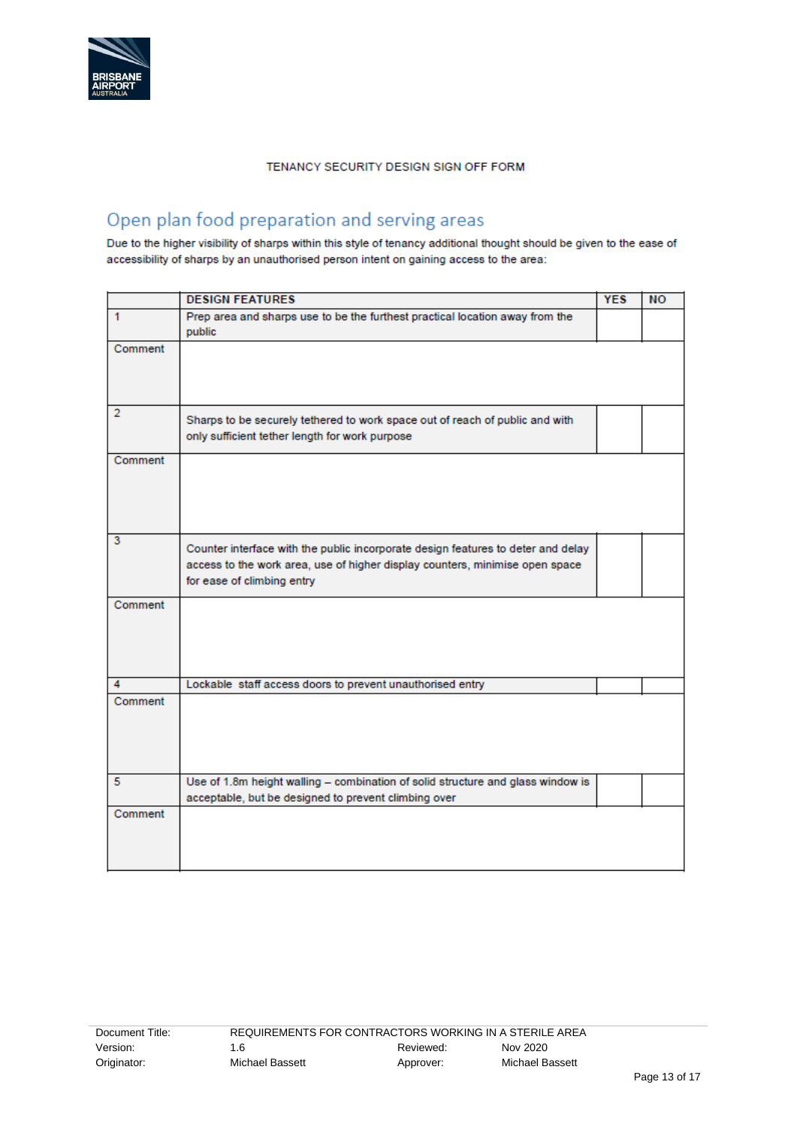

#### TENANCY SECURITY DESIGN SIGN OFF FORM

# Open plan food preparation and serving areas

Due to the higher visibility of sharps within this style of tenancy additional thought should be given to the ease of accessibility of sharps by an unauthorised person intent on gaining access to the area:

|                | <b>DESIGN FEATURES</b>                                                                                                                                                                         | <b>YES</b> | <b>NO</b> |
|----------------|------------------------------------------------------------------------------------------------------------------------------------------------------------------------------------------------|------------|-----------|
| $\mathbf{1}$   | Prep area and sharps use to be the furthest practical location away from the<br>public                                                                                                         |            |           |
| Comment        |                                                                                                                                                                                                |            |           |
| $\overline{2}$ | Sharps to be securely tethered to work space out of reach of public and with<br>only sufficient tether length for work purpose                                                                 |            |           |
| Comment        |                                                                                                                                                                                                |            |           |
| 3              | Counter interface with the public incorporate design features to deter and delay<br>access to the work area, use of higher display counters, minimise open space<br>for ease of climbing entry |            |           |
| Comment        |                                                                                                                                                                                                |            |           |
| 4              | Lockable staff access doors to prevent unauthorised entry                                                                                                                                      |            |           |
| Comment        |                                                                                                                                                                                                |            |           |
| 5              | Use of 1.8m height walling - combination of solid structure and glass window is                                                                                                                |            |           |
|                | acceptable, but be designed to prevent climbing over                                                                                                                                           |            |           |
| Comment        |                                                                                                                                                                                                |            |           |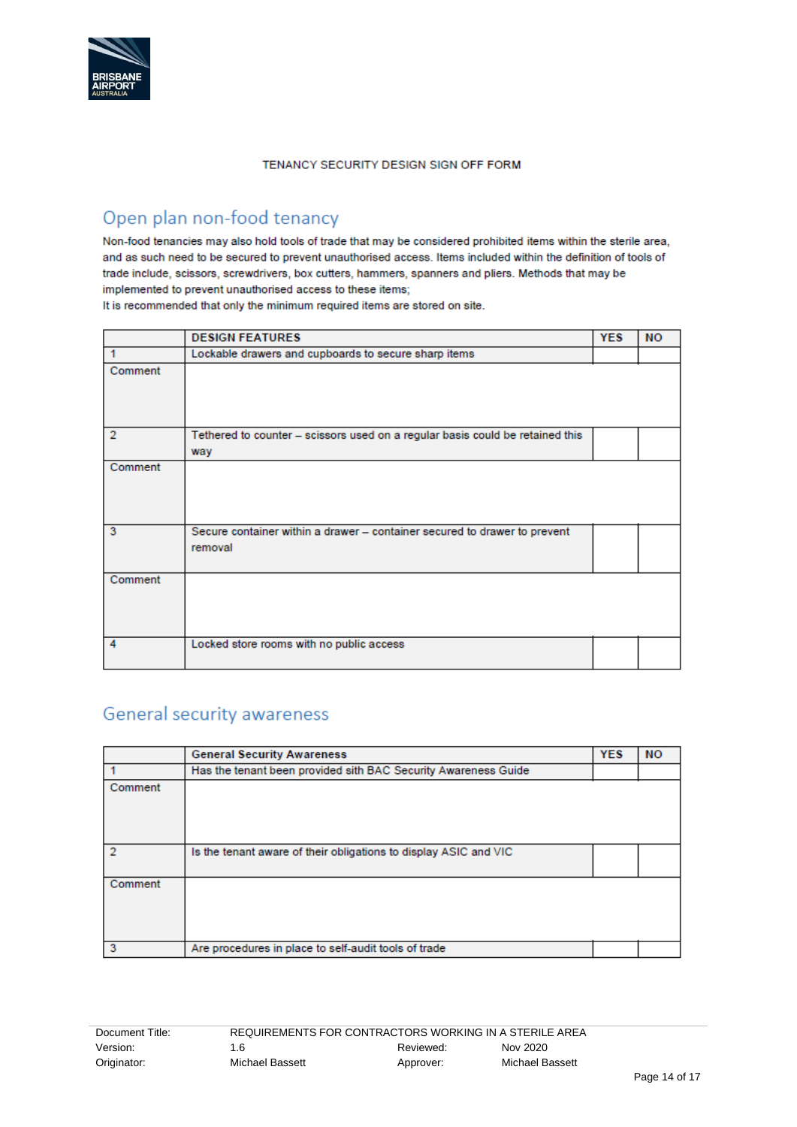

#### TENANCY SECURITY DESIGN SIGN OFF FORM

# Open plan non-food tenancy

Non-food tenancies may also hold tools of trade that may be considered prohibited items within the sterile area, and as such need to be secured to prevent unauthorised access. Items included within the definition of tools of trade include, scissors, screwdrivers, box cutters, hammers, spanners and pliers. Methods that may be implemented to prevent unauthorised access to these items;

It is recommended that only the minimum required items are stored on site.

|                | <b>DESIGN FEATURES</b>                                                               | <b>YES</b> | <b>NO</b> |
|----------------|--------------------------------------------------------------------------------------|------------|-----------|
| 1              | Lockable drawers and cupboards to secure sharp items                                 |            |           |
| Comment        |                                                                                      |            |           |
| $\overline{2}$ | Tethered to counter - scissors used on a regular basis could be retained this<br>way |            |           |
| Comment        |                                                                                      |            |           |
| 3              | Secure container within a drawer - container secured to drawer to prevent<br>removal |            |           |
| Comment        |                                                                                      |            |           |
| 4              | Locked store rooms with no public access                                             |            |           |

# General security awareness

|         | <b>General Security Awareness</b>                                | <b>YES</b> | <b>NO</b> |
|---------|------------------------------------------------------------------|------------|-----------|
|         | Has the tenant been provided sith BAC Security Awareness Guide   |            |           |
| Comment |                                                                  |            |           |
|         | Is the tenant aware of their obligations to display ASIC and VIC |            |           |
| Comment |                                                                  |            |           |
| 3       | Are procedures in place to self-audit tools of trade             |            |           |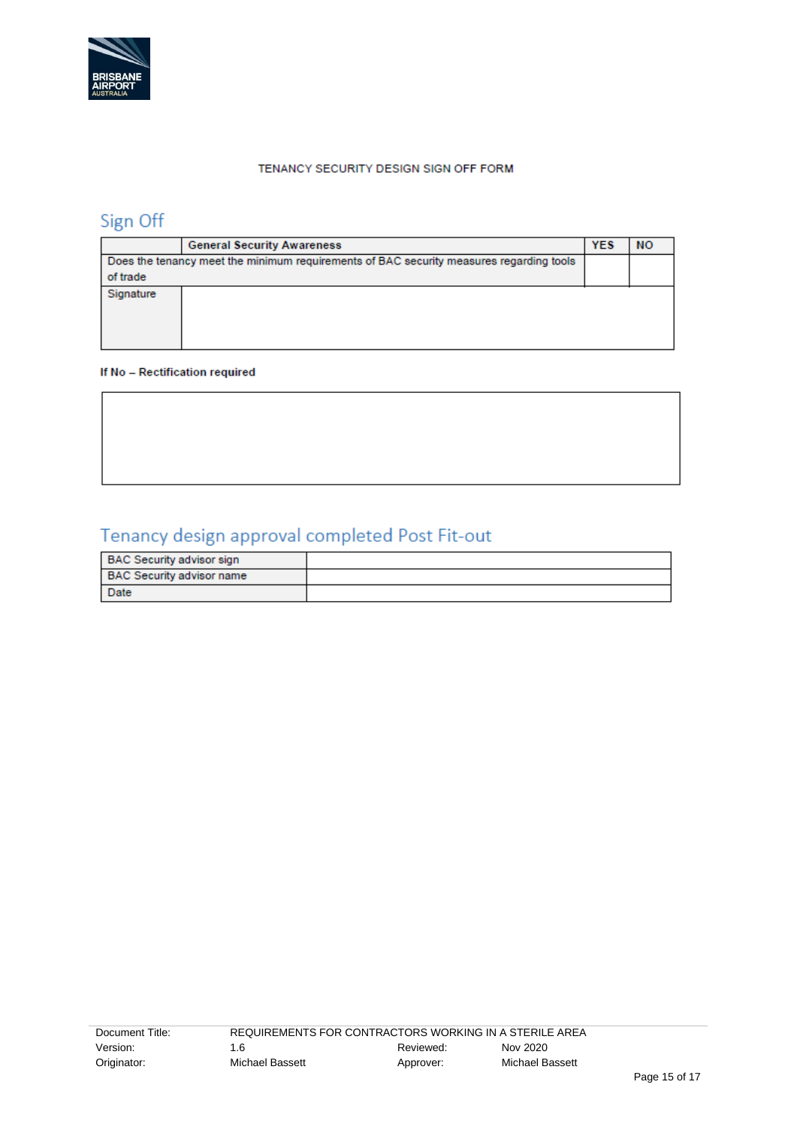

#### TENANCY SECURITY DESIGN SIGN OFF FORM

# Sign Off

|           | <b>General Security Awareness</b>                                                       | <b>YES</b> | <b>NO</b> |
|-----------|-----------------------------------------------------------------------------------------|------------|-----------|
|           | Does the tenancy meet the minimum requirements of BAC security measures regarding tools |            |           |
| of trade  |                                                                                         |            |           |
| Signature |                                                                                         |            |           |
|           |                                                                                         |            |           |
|           |                                                                                         |            |           |
|           |                                                                                         |            |           |

#### If No - Rectification required

# Tenancy design approval completed Post Fit-out

| <b>BAC Security advisor sign</b> |  |
|----------------------------------|--|
| <b>BAC Security advisor name</b> |  |
| <b>Date</b>                      |  |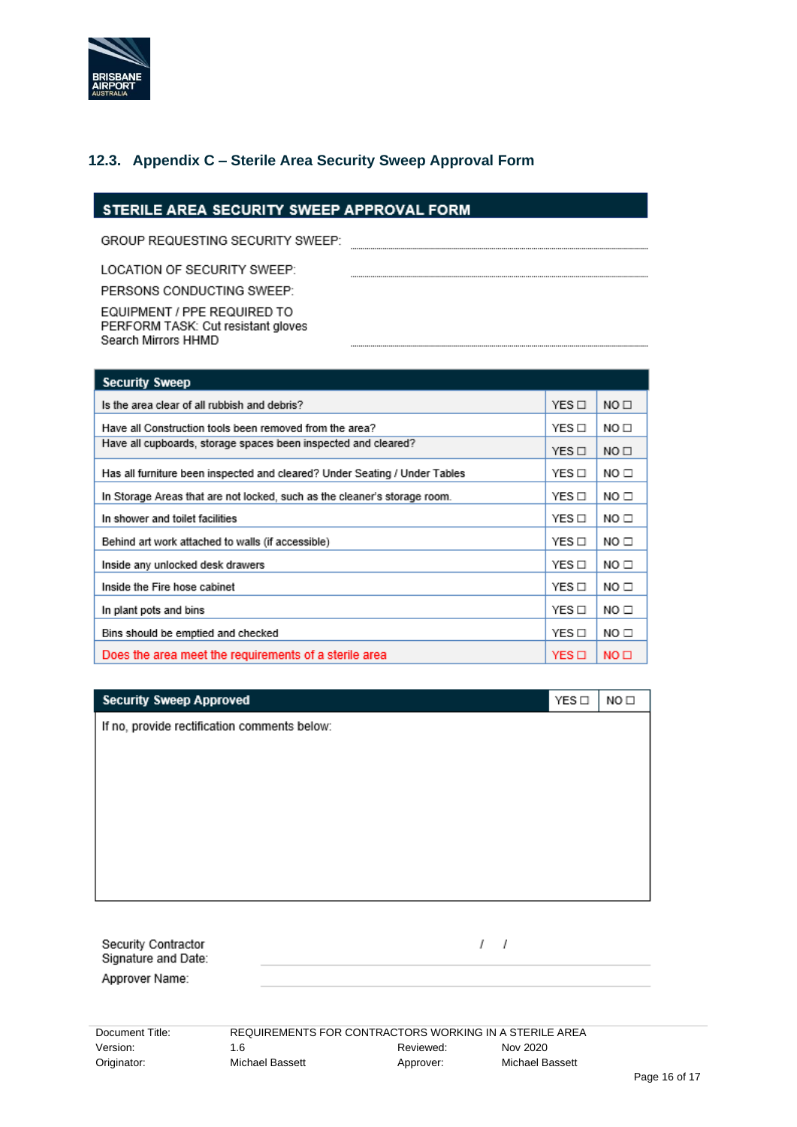

#### **12.3. Appendix C – Sterile Area Security Sweep Approval Form**

#### STERILE AREA SECURITY SWEEP APPROVAL FORM

GROUP REQUESTING SECURITY SWEEP:

LOCATION OF SECURITY SWEEP:

PERSONS CONDUCTING SWEEP:

EQUIPMENT / PPE REQUIRED TO PERFORM TASK: Cut resistant gloves Search Mirrors HHMD

| <b>Security Sweep</b>                                                      |       |                  |
|----------------------------------------------------------------------------|-------|------------------|
| Is the area clear of all rubbish and debris?                               |       | NO <sub>1</sub>  |
| Have all Construction tools been removed from the area?                    |       | NO <sub>1</sub>  |
| Have all cupboards, storage spaces been inspected and cleared?             |       | NO <sub>1</sub>  |
| Has all furniture been inspected and cleared? Under Seating / Under Tables | YES □ | NO □             |
| In Storage Areas that are not locked, such as the cleaner's storage room.  | YES □ | NO <sub>1</sub>  |
| In shower and toilet facilities                                            | YES □ | NO □             |
| Behind art work attached to walls (if accessible)                          | YES□  | NO <sub>1</sub>  |
| Inside any unlocked desk drawers                                           | YES□  | NO <sub>1</sub>  |
| Inside the Fire hose cabinet                                               | YES□  | NO□              |
| In plant pots and bins                                                     | YES□  | NO□              |
| Bins should be emptied and checked                                         | YES□  | NO□              |
| Does the area meet the requirements of a sterile area                      | YES O | NO <sub>II</sub> |

| <b>Security Sweep Approved</b>               | YES □ | NO <sub>1</sub> |  |  |
|----------------------------------------------|-------|-----------------|--|--|
| If no, provide rectification comments below: |       |                 |  |  |
|                                              |       |                 |  |  |
|                                              |       |                 |  |  |
|                                              |       |                 |  |  |
|                                              |       |                 |  |  |
|                                              |       |                 |  |  |
|                                              |       |                 |  |  |
|                                              |       |                 |  |  |
|                                              |       |                 |  |  |
|                                              |       |                 |  |  |

Security Contractor Signature and Date: Approver Name:

 $1 - 1$